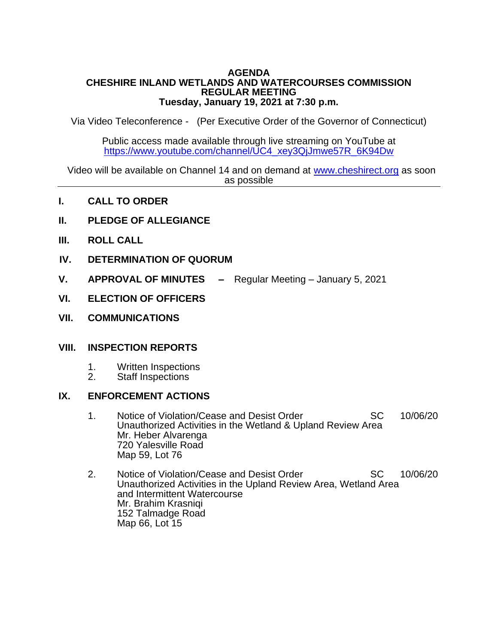#### **AGENDA CHESHIRE INLAND WETLANDS AND WATERCOURSES COMMISSION REGULAR MEETING Tuesday, January 19, 2021 at 7:30 p.m.**

Via Video Teleconference - (Per Executive Order of the Governor of Connecticut)

Public access made available through live streaming on YouTube at [https://www.youtube.com/channel/UC4\\_xey3QjJmwe57R\\_6K94Dw](https://www.youtube.com/channel/UC4_xey3QjJmwe57R_6K94Dw)

 Video will be available on Channel 14 and on demand at [www.cheshirect.org](http://www.cheshirect.org/) as soon as possible

- **I. CALL TO ORDER**
- **II. PLEDGE OF ALLEGIANCE**
- **III. ROLL CALL**
- **IV. DETERMINATION OF QUORUM**
- **V. APPROVAL OF MINUTES –** Regular Meeting January 5, 2021
- **VI. ELECTION OF OFFICERS**
- **VII. COMMUNICATIONS**

### **VIII. INSPECTION REPORTS**

- 1. Written Inspections<br>2. Staff Inspections
- Staff Inspections

### **IX. ENFORCEMENT ACTIONS**

- 1. Notice of Violation/Cease and Desist Order SC 10/06/20 Unauthorized Activities in the Wetland & Upland Review Area Mr. Heber Alvarenga 720 Yalesville Road Map 59, Lot 76
- 2. Notice of Violation/Cease and Desist Order SC 10/06/20 Unauthorized Activities in the Upland Review Area, Wetland Area and Intermittent Watercourse Mr. Brahim Krasniqi 152 Talmadge Road Map 66, Lot 15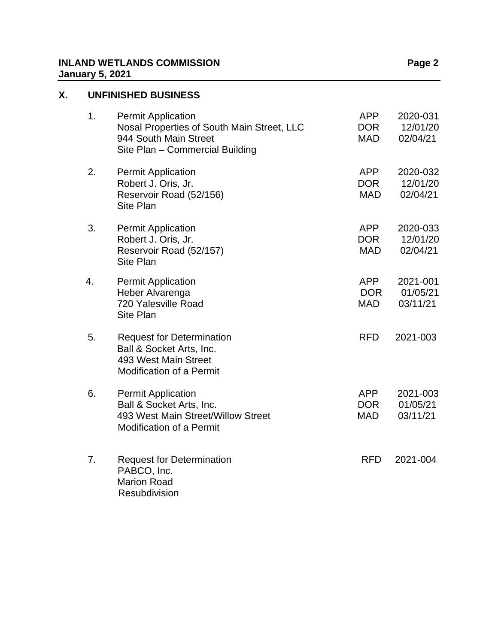## **INLAND WETLANDS COMMISSION Page 2 January 5, 2021**

# **X. UNFINISHED BUSINESS**

| 1. | <b>Permit Application</b><br>Nosal Properties of South Main Street, LLC<br>944 South Main Street<br>Site Plan - Commercial Building | <b>APP</b><br><b>DOR</b><br><b>MAD</b> | 2020-031<br>12/01/20<br>02/04/21 |
|----|-------------------------------------------------------------------------------------------------------------------------------------|----------------------------------------|----------------------------------|
| 2. | <b>Permit Application</b><br>Robert J. Oris, Jr.<br>Reservoir Road (52/156)<br><b>Site Plan</b>                                     | <b>APP</b><br><b>DOR</b><br><b>MAD</b> | 2020-032<br>12/01/20<br>02/04/21 |
| 3. | <b>Permit Application</b><br>Robert J. Oris, Jr.<br>Reservoir Road (52/157)<br>Site Plan                                            | APP<br><b>DOR</b><br><b>MAD</b>        | 2020-033<br>12/01/20<br>02/04/21 |
| 4. | <b>Permit Application</b><br>Heber Alvarenga<br>720 Yalesville Road<br><b>Site Plan</b>                                             | APP<br><b>DOR</b><br>MAD               | 2021-001<br>01/05/21<br>03/11/21 |
| 5. | <b>Request for Determination</b><br>Ball & Socket Arts, Inc.<br>493 West Main Street<br><b>Modification of a Permit</b>             | <b>RFD</b>                             | 2021-003                         |
| 6. | <b>Permit Application</b><br>Ball & Socket Arts, Inc.<br>493 West Main Street/Willow Street<br>Modification of a Permit             | <b>APP</b><br><b>DOR</b><br><b>MAD</b> | 2021-003<br>01/05/21<br>03/11/21 |
| 7. | <b>Request for Determination</b><br>PABCO, Inc.<br><b>Marion Road</b><br>Resubdivision                                              | <b>RFD</b>                             | 2021-004                         |